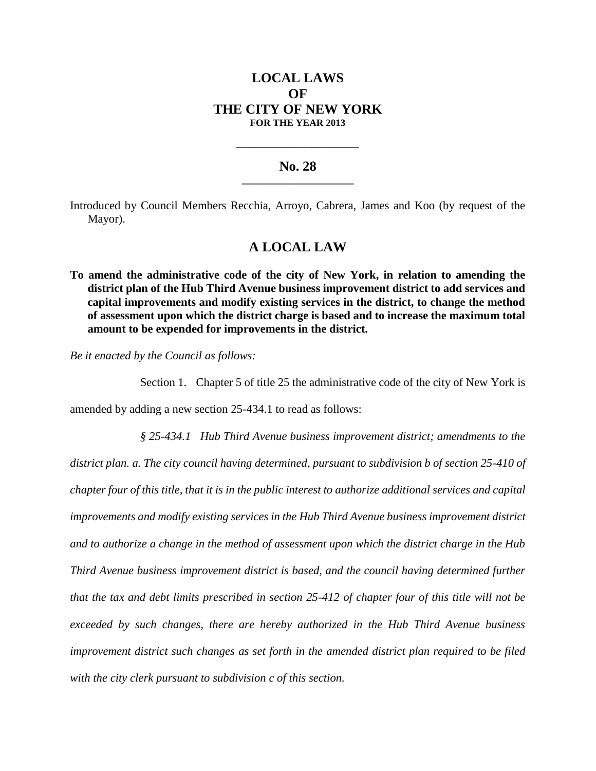# **LOCAL LAWS OF THE CITY OF NEW YORK FOR THE YEAR 2013**

### **No. 28 \_\_\_\_\_\_\_\_\_\_\_\_\_\_\_\_\_\_\_\_\_\_\_**

**\_\_\_\_\_\_\_\_\_\_\_\_\_\_\_\_\_\_\_\_\_\_\_\_\_\_\_\_**

Introduced by Council Members Recchia, Arroyo, Cabrera, James and Koo (by request of the Mayor).

## **A LOCAL LAW**

**To amend the administrative code of the city of New York, in relation to amending the district plan of the Hub Third Avenue business improvement district to add services and capital improvements and modify existing services in the district, to change the method of assessment upon which the district charge is based and to increase the maximum total amount to be expended for improvements in the district.**

*Be it enacted by the Council as follows:*

Section 1. Chapter 5 of title 25 the administrative code of the city of New York is

amended by adding a new section 25-434.1 to read as follows:

*§ 25-434.1 Hub Third Avenue business improvement district; amendments to the district plan. a. The city council having determined, pursuant to subdivision b of section 25-410 of chapter four of this title, that it is in the public interest to authorize additional services and capital improvements and modify existing services in the Hub Third Avenue business improvement district and to authorize a change in the method of assessment upon which the district charge in the Hub Third Avenue business improvement district is based, and the council having determined further that the tax and debt limits prescribed in section 25-412 of chapter four of this title will not be exceeded by such changes, there are hereby authorized in the Hub Third Avenue business improvement district such changes as set forth in the amended district plan required to be filed with the city clerk pursuant to subdivision c of this section.*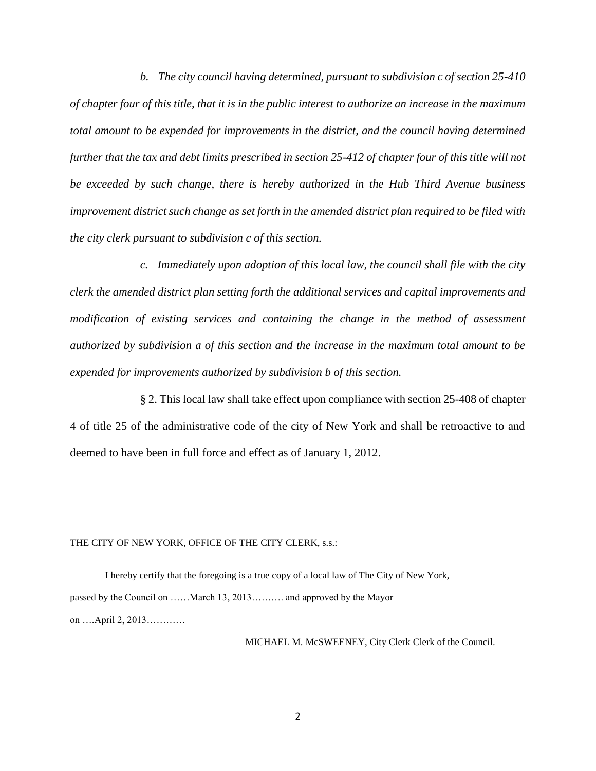*b. The city council having determined, pursuant to subdivision c of section 25-410 of chapter four of this title, that it is in the public interest to authorize an increase in the maximum total amount to be expended for improvements in the district, and the council having determined further that the tax and debt limits prescribed in section 25-412 of chapter four of this title will not be exceeded by such change, there is hereby authorized in the Hub Third Avenue business improvement district such change as set forth in the amended district plan required to be filed with the city clerk pursuant to subdivision c of this section.*

*c. Immediately upon adoption of this local law, the council shall file with the city clerk the amended district plan setting forth the additional services and capital improvements and modification of existing services and containing the change in the method of assessment authorized by subdivision a of this section and the increase in the maximum total amount to be expended for improvements authorized by subdivision b of this section.*

§ 2. This local law shall take effect upon compliance with section 25-408 of chapter 4 of title 25 of the administrative code of the city of New York and shall be retroactive to and deemed to have been in full force and effect as of January 1, 2012.

#### THE CITY OF NEW YORK, OFFICE OF THE CITY CLERK, s.s.:

I hereby certify that the foregoing is a true copy of a local law of The City of New York, passed by the Council on ……March 13, 2013………. and approved by the Mayor on ….April 2, 2013…………

MICHAEL M. McSWEENEY, City Clerk Clerk of the Council.